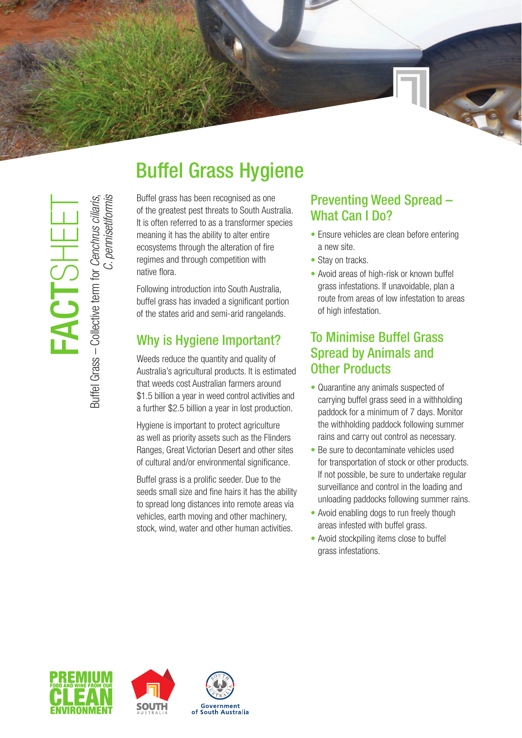# Buffel Grass Hygiene

Buffel grass has been recognised as one of the greatest pest threats to South Australia. It is often referred to as a transformer species meaning it has the ability to alter entire ecosystems through the alteration of fire regimes and through competition with native flora.

Following introduction into South Australia, buffel grass has invaded a significant portion of the states arid and semi-arid rangelands.

## Why is Hygiene Important?

Weeds reduce the quantity and quality of Australia's agricultural products. It is estimated that weeds cost Australian farmers around \$1.5 billion a year in weed control activities and a further \$2.5 billion a year in lost production.

Hygiene is important to protect agriculture as well as priority assets such as the Flinders Ranges, Great Victorian Desert and other sites of cultural and/or environmental significance.

Buffel grass is a prolific seeder. Due to the seeds small size and fine hairs it has the ability to spread long distances into remote areas via vehicles, earth moving and other machinery, stock, wind, water and other human activities.

### Preventing Weed Spread – What Can I Do?

- Ensure vehicles are clean before entering a new site.
- Stay on tracks.
- Avoid areas of high-risk or known buffel grass infestations. If unavoidable, plan a route from areas of low infestation to areas of high infestation.

### To Minimise Buffel Grass Spread by Animals and Other Products

- Quarantine any animals suspected of carrying buffel grass seed in a withholding paddock for a minimum of 7 days. Monitor the withholding paddock following summer rains and carry out control as necessary.
- Be sure to decontaminate vehicles used for transportation of stock or other products. If not possible, be sure to undertake regular surveillance and control in the loading and unloading paddocks following summer rains.
- Avoid enabling dogs to run freely though areas infested with buffel grass.
- Avoid stockpiling items close to buffel grass infestations.



FACTSHEET

ACTSH

Buffel Grass – Collective term for *Cenchrus ciliaris*,

Buffel Grass - Collective term for Cenchrus ciliaris,

*C. pennisetiformis*

C. pennisetiformis



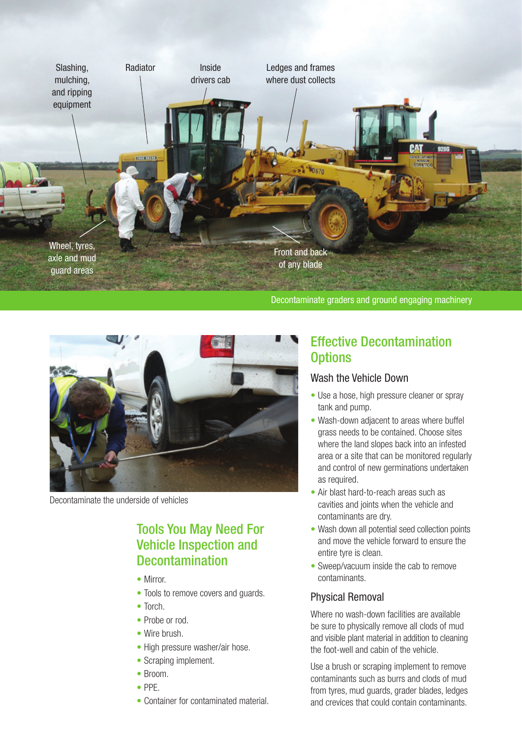

Decontaminate graders and ground engaging machinery



Decontaminate the underside of vehicles

### Tools You May Need For Vehicle Inspection and Decontamination

- Mirror
- Tools to remove covers and quards.
- Torch.
- Probe or rod.
- Wire brush.
- High pressure washer/air hose.
- Scraping implement.
- Broom.
- PPE.
- Container for contaminated material.

### Effective Decontamination **Options**

#### Wash the Vehicle Down

- Use a hose, high pressure cleaner or spray tank and pump.
- Wash-down adjacent to areas where buffel grass needs to be contained. Choose sites where the land slopes back into an infested area or a site that can be monitored regularly and control of new germinations undertaken as required.
- Air blast hard-to-reach areas such as cavities and joints when the vehicle and contaminants are dry.
- Wash down all potential seed collection points and move the vehicle forward to ensure the entire tyre is clean.
- Sweep/vacuum inside the cab to remove contaminants.

#### Physical Removal

Where no wash-down facilities are available be sure to physically remove all clods of mud and visible plant material in addition to cleaning the foot-well and cabin of the vehicle.

Use a brush or scraping implement to remove contaminants such as burrs and clods of mud from tyres, mud guards, grader blades, ledges and crevices that could contain contaminants.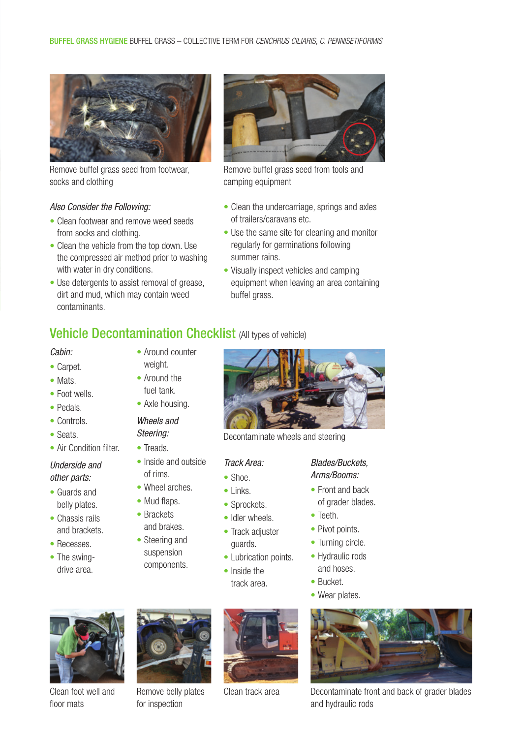

Remove buffel grass seed from footwear, socks and clothing

#### *Also Consider the Following:*

- Clean footwear and remove weed seeds from socks and clothing.
- Clean the vehicle from the top down. Use the compressed air method prior to washing with water in dry conditions.
- Use detergents to assist removal of grease, dirt and mud, which may contain weed contaminants.



Remove buffel grass seed from tools and camping equipment

- Clean the undercarriage, springs and axles of trailers/caravans etc.
- Use the same site for cleaning and monitor regularly for germinations following summer rains.
- Visually inspect vehicles and camping equipment when leaving an area containing buffel grass.

### **Vehicle Decontamination Checklist (All types of vehicle)**

• Around counter

#### *Cabin:*

- Carpet.
- Mats.
- Foot wells
- Pedals.
- Controls.
- Seats.
- Air Condition filter

#### *Underside and other parts:*

- Guards and belly plates.
- Chassis rails and brackets.
- Recesses.
- The swingdrive area.
- weight. • Around the fuel tank.
	- Axle housing.

### *Wheels and*

- *Steering:*
- Treads.
- Inside and outside of rims.
- Wheel arches.
- Mud flaps.
- Brackets
- and brakes. • Steering and
- suspension components.



Decontaminate wheels and steering

#### *Track Area:*

- Shoe.
- Links.
- Sprockets.
- Idler wheels.
- Track adjuster guards.
- Lubrication points.
- Inside the track area.

#### *Blades/Buckets, Arms/Booms:*

- Front and back of grader blades.
- Teeth.
- Pivot points.
- Turning circle.
- Hydraulic rods and hoses.
- Bucket.
- Wear plates.



Clean foot well and floor mats



Remove belly plates Clean track area for inspection





Decontaminate front and back of grader blades and hydraulic rods